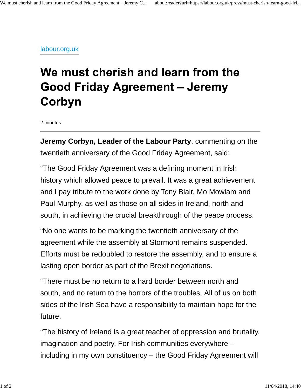## labour.org.uk

## We must cherish and learn from the **Good Friday Agreement - Jeremy** Corbyn

2 minutes

**Jeremy Corbyn, Leader of the Labour Party**, commenting on the twentieth anniversary of the Good Friday Agreement, said:

"The Good Friday Agreement was a defining moment in Irish history which allowed peace to prevail. It was a great achievement and I pay tribute to the work done by Tony Blair, Mo Mowlam and Paul Murphy, as well as those on all sides in Ireland, north and south, in achieving the crucial breakthrough of the peace process.

"No one wants to be marking the twentieth anniversary of the agreement while the assembly at Stormont remains suspended. Efforts must be redoubled to restore the assembly, and to ensure a lasting open border as part of the Brexit negotiations.

"There must be no return to a hard border between north and south, and no return to the horrors of the troubles. All of us on both sides of the Irish Sea have a responsibility to maintain hope for the future.

"The history of Ireland is a great teacher of oppression and brutality, imagination and poetry. For Irish communities everywhere – including in my own constituency – the Good Friday Agreement will